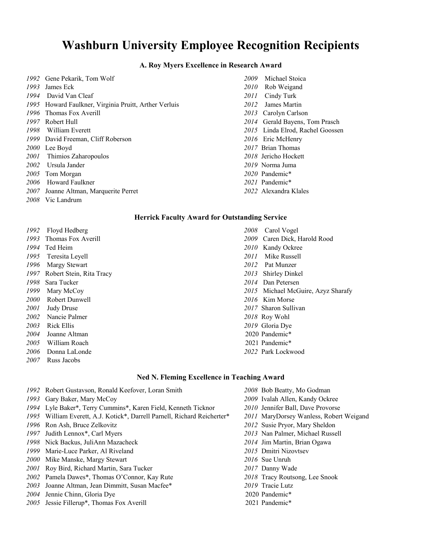# **Washburn University Employee Recognition Recipients**

# **A. Roy Myers Excellence in Research Award**

| 1992 Gene Pekarik, Tom Wolf                           |
|-------------------------------------------------------|
| 1993 James Eck                                        |
| 1994 David Van Cleaf                                  |
| 1995 Howard Faulkner, Virginia Pruitt, Arther Verluis |
| 1996 Thomas Fox Averill                               |
| 1997 Robert Hull                                      |
| 1998 William Everett                                  |
| 1999 David Freeman, Cliff Roberson                    |
| 2000 Lee Boyd                                         |
| 2001 Thimios Zaharopoulos                             |
| 2002 Ursula Jander                                    |
| 2005 Tom Morgan                                       |
| 2006 Howard Faulkner                                  |
| 2007 Joanne Altman, Marquerite Perret                 |
| αρρο τη τ. 1.                                         |

Vic Landrum

### **Herrick Faculty Award for Outstanding Service**

 Floyd Hedberg *2008* Carol Vogel Thomas Fox Averill *2009* Caren Dick, Harold Rood Ted Heim *2010* Kandy Ockree Teresita Leyell *2011* Mike Russell Margy Stewart *2012* Pat Munzer Robert Stein, Rita Tracy *2013* Shirley Dinkel Sara Tucker *2014* Dan Petersen Robert Dunwell *2016* Kim Morse Judy Druse *2017* Sharon Sullivan Nancie Palmer *2018* Roy Wohl Rick Ellis *2019* Gloria Dye Joanne Altman 2020 Pandemic\* 2005 William Roach 2001 Pandemic\* Donna LaLonde *2022* Park Lockwood Russ Jacobs

# **Ned N. Fleming Excellence in Teaching Award**

- Robert Gustavson, Ronald Keefover, Loran Smith *2008* Bob Beatty, Mo Godman
- 
- Lyle Baker\*, Terry Cummins\*, Karen Field, Kenneth Ticknor *2010* Jennifer Ball, Dave Provorse
- William Everett, A.J. Kotick\*, Darrell Parnell, Richard Reicherter\* *2011* MaryDorsey Wanless, Robert Weigand
- 
- 
- Nick Backus, JuliAnn Mazacheck *2014* Jim Martin, Brian Ogawa
- Marie-Luce Parker, Al Riveland *2015* Dmitri Nizovtsev
- Mike Manske, Margy Stewart *2016* Sue Unruh
- Roy Bird, Richard Martin, Sara Tucker *2017* Danny Wade
- Pamela Dawes\*, Thomas O'Connor, Kay Rute *2018* Tracy Routsong, Lee Snook
- Joanne Altman, Jean Dimmitt, Susan Macfee\* *2019* Tracie Lutz
- Jennie Chinn, Gloria Dye 2020 Pandemic\*
- Jessie Fillerup\*, Thomas Fox Averill 2021 Pandemic\*
- 2009 Michael Stoica 2010 Rob Weigand 2011 Cindy Turk 2012 James Martin 2013 Carolyn Carlson 2014 Gerald Bayens, Tom Prasch 2015 Linda Elrod, Rachel Goossen 2016 Eric McHenry 2017 Brian Thomas Thimios Zaharopoulos *2018* Jericho Hockett 2019 Norma Juma 2020 Pandemic\* 2021 Pandemic\*
- 2022 Alexandra Klales
- Mary McCoy *2015* Michael McGuire, Azyz Sharafy
	-
- Gary Baker, Mary McCoy *2009* Ivalah Allen, Kandy Ockree Ron Ash, Bruce Zelkovitz *2012* Susie Pryor, Mary Sheldon Judith Lennox\*, Carl Myers *2013* Nan Palmer, Michael Russell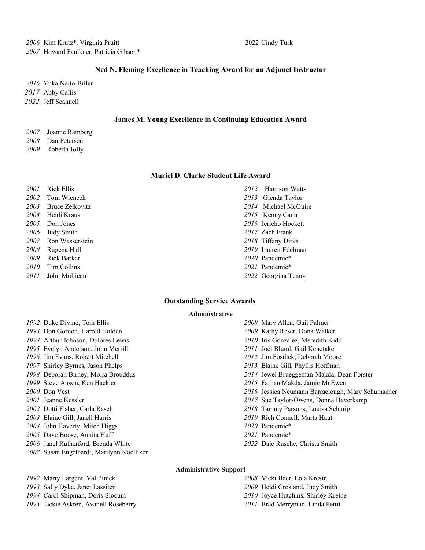# **Ned N. Fleming Excellence in Teaching Award for an Adjunct Instructor**

 Yuka Naito-Billen Abby Callis Jeff Scannell

### **James M. Young Excellence in Continuing Education Award**

- Joanne Ramberg Dan Petersen
- Roberta Jolly

#### **Muriel D. Clarke Student Life Award**

 Rick Ellis *2012* Harrison Watts Tom Wiencek *2013* Glenda Taylor Bruce Zelkovitz *2014* Michael McGuire Heidi Kraus *2015* Kenny Cann Don Jones *2016* Jericho Hockett Judy Smith *2017* Zach Frank Ron Wasserstein *2018* Tiffany Dirks Rugena Hall *2019* Lauren Edelman Rick Barker *2020* Pandemic\* Tim Collins *2021* Pandemic\* John Mullican *2022* Georgina Tenny

# **Outstanding Service Awards**

#### **Administrative**

- Duke Divine, Tom Ellis *2008* Mary Allen, Gail Palmer Don Gordon, Harold Holden *2009* Kathy Reser, Dona Walker Arthur Johnson, Dolores Lewis *2010* Iris Gonzalez, Meredith Kidd Evelyn Anderson, John Merrill *2011* Joel Bluml, Gail Kenefake Jim Evans, Robert Mitchell *2012* Jim Fosdick, Deborah Moore Shirley Byrnes, Jason Phelps *2013* Elaine Gill, Phyllis Hoffman Deborah Birney, Moira Brouddus *2014* Jewel Brueggeman-Makda, Dean Forster Steve Anson, Ken Hackler *2015* Farhan Makda, Jamie McEwen Jeanne Kessler *2017* Sue Taylor-Owens, Donna Haverkamp Dotti Fisher, Carla Rasch *2018* Tammy Parsons, Louisa Schurig Elaine Gill, Janell Harris *2019* Rich Connell, Marta Haut John Haverty, Mitch Higgs *2020* Pandemic\* Dave Boose, Annita Huff *2021* Pandemic\* Janel Rutherford, Brenda White *2022* Dale Rusche, Christa Smith Susan Engelhardt, Marilynn Koelliker
- Don Vest *2016* Jessica Neumann Barraclough, Mary Schumacher

# **Administrative Support**

- Marty Largent, Val Pinick *2008* Vicki Baer, Lola Kresin
- Sally Dyke, Janet Lassiter *2009* Heidi Crosland, Judy Smith
- Carol Shipman, Doris Slocum *2010* Joyce Hutchins, Shirley Kreipe
- Jackie Askren, Avanell Roseberry *2011* Brad Merryman, Linda Pettit
- 
- 
- 
- -
	-
	-